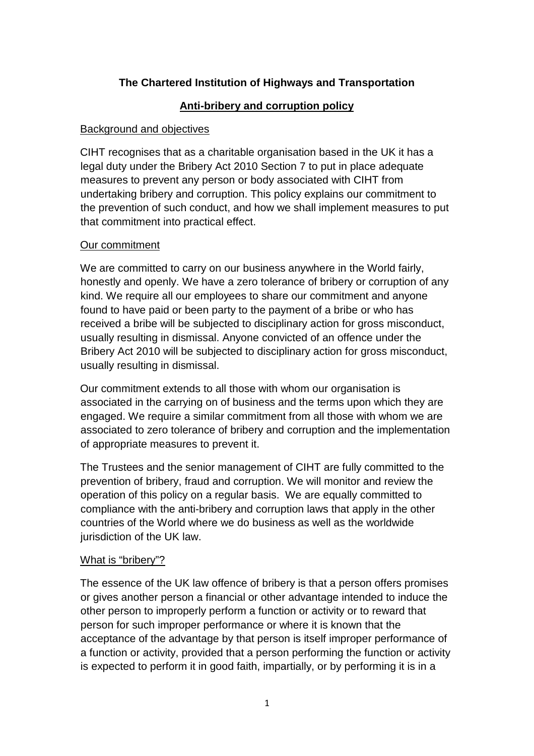# **The Chartered Institution of Highways and Transportation**

## **Anti-bribery and corruption policy**

### Background and objectives

CIHT recognises that as a charitable organisation based in the UK it has a legal duty under the Bribery Act 2010 Section 7 to put in place adequate measures to prevent any person or body associated with CIHT from undertaking bribery and corruption. This policy explains our commitment to the prevention of such conduct, and how we shall implement measures to put that commitment into practical effect.

### Our commitment

We are committed to carry on our business anywhere in the World fairly, honestly and openly. We have a zero tolerance of bribery or corruption of any kind. We require all our employees to share our commitment and anyone found to have paid or been party to the payment of a bribe or who has received a bribe will be subjected to disciplinary action for gross misconduct, usually resulting in dismissal. Anyone convicted of an offence under the Bribery Act 2010 will be subjected to disciplinary action for gross misconduct, usually resulting in dismissal.

Our commitment extends to all those with whom our organisation is associated in the carrying on of business and the terms upon which they are engaged. We require a similar commitment from all those with whom we are associated to zero tolerance of bribery and corruption and the implementation of appropriate measures to prevent it.

The Trustees and the senior management of CIHT are fully committed to the prevention of bribery, fraud and corruption. We will monitor and review the operation of this policy on a regular basis. We are equally committed to compliance with the anti-bribery and corruption laws that apply in the other countries of the World where we do business as well as the worldwide jurisdiction of the UK law.

#### What is "bribery"?

The essence of the UK law offence of bribery is that a person offers promises or gives another person a financial or other advantage intended to induce the other person to improperly perform a function or activity or to reward that person for such improper performance or where it is known that the acceptance of the advantage by that person is itself improper performance of a function or activity, provided that a person performing the function or activity is expected to perform it in good faith, impartially, or by performing it is in a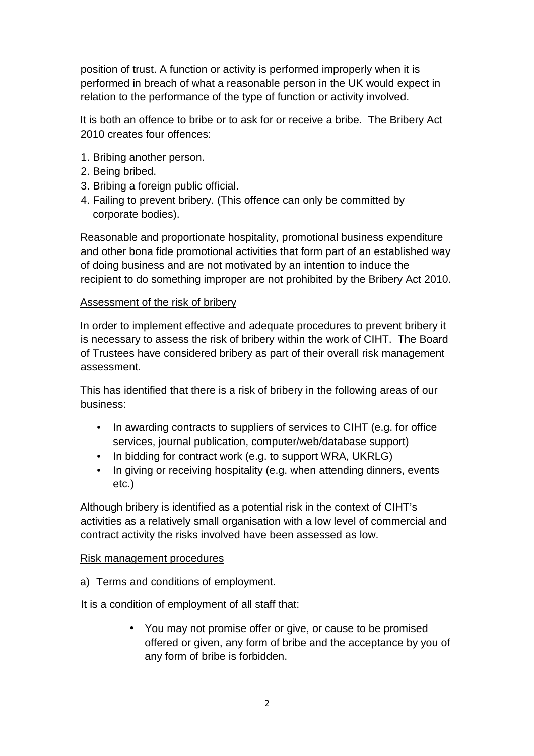position of trust. A function or activity is performed improperly when it is performed in breach of what a reasonable person in the UK would expect in relation to the performance of the type of function or activity involved.

It is both an offence to bribe or to ask for or receive a bribe. The Bribery Act 2010 creates four offences:

- 1. Bribing another person.
- 2. Being bribed.
- 3. Bribing a foreign public official.
- 4. Failing to prevent bribery. (This offence can only be committed by corporate bodies).

Reasonable and proportionate hospitality, promotional business expenditure and other bona fide promotional activities that form part of an established way of doing business and are not motivated by an intention to induce the recipient to do something improper are not prohibited by the Bribery Act 2010.

## Assessment of the risk of bribery

In order to implement effective and adequate procedures to prevent bribery it is necessary to assess the risk of bribery within the work of CIHT. The Board of Trustees have considered bribery as part of their overall risk management assessment.

This has identified that there is a risk of bribery in the following areas of our business:

- In awarding contracts to suppliers of services to CIHT (e.g. for office services, journal publication, computer/web/database support)
- In bidding for contract work (e.g. to support WRA, UKRLG)
- In giving or receiving hospitality (e.g. when attending dinners, events etc.)

Although bribery is identified as a potential risk in the context of CIHT's activities as a relatively small organisation with a low level of commercial and contract activity the risks involved have been assessed as low.

#### Risk management procedures

a) Terms and conditions of employment.

It is a condition of employment of all staff that:

• You may not promise offer or give, or cause to be promised offered or given, any form of bribe and the acceptance by you of any form of bribe is forbidden.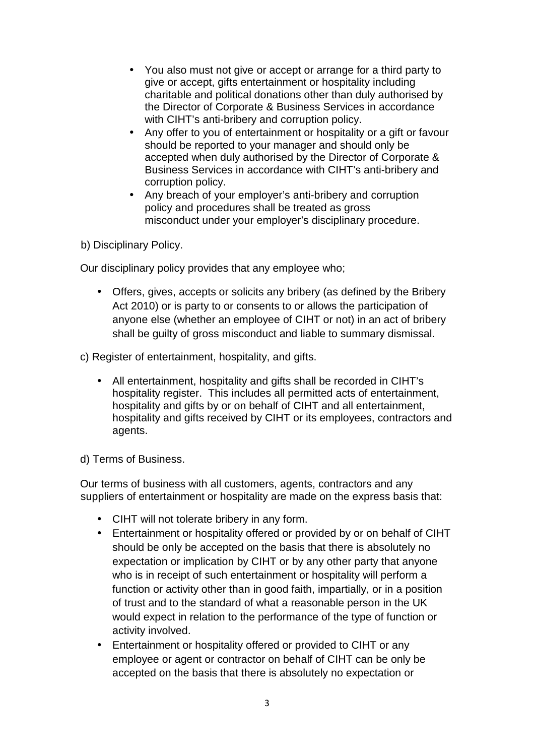- You also must not give or accept or arrange for a third party to give or accept, gifts entertainment or hospitality including charitable and political donations other than duly authorised by the Director of Corporate & Business Services in accordance with CIHT's anti-bribery and corruption policy.
- Any offer to you of entertainment or hospitality or a gift or favour should be reported to your manager and should only be accepted when duly authorised by the Director of Corporate & Business Services in accordance with CIHT's anti-bribery and corruption policy.
- Any breach of your employer's anti-bribery and corruption policy and procedures shall be treated as gross misconduct under your employer's disciplinary procedure.

b) Disciplinary Policy.

Our disciplinary policy provides that any employee who;

- Offers, gives, accepts or solicits any bribery (as defined by the Bribery Act 2010) or is party to or consents to or allows the participation of anyone else (whether an employee of CIHT or not) in an act of bribery shall be guilty of gross misconduct and liable to summary dismissal.
- c) Register of entertainment, hospitality, and gifts.
	- All entertainment, hospitality and gifts shall be recorded in CIHT's hospitality register. This includes all permitted acts of entertainment, hospitality and gifts by or on behalf of CIHT and all entertainment, hospitality and gifts received by CIHT or its employees, contractors and agents.
- d) Terms of Business.

Our terms of business with all customers, agents, contractors and any suppliers of entertainment or hospitality are made on the express basis that:

- CIHT will not tolerate bribery in any form.
- Entertainment or hospitality offered or provided by or on behalf of CIHT should be only be accepted on the basis that there is absolutely no expectation or implication by CIHT or by any other party that anyone who is in receipt of such entertainment or hospitality will perform a function or activity other than in good faith, impartially, or in a position of trust and to the standard of what a reasonable person in the UK would expect in relation to the performance of the type of function or activity involved.
- Entertainment or hospitality offered or provided to CIHT or any employee or agent or contractor on behalf of CIHT can be only be accepted on the basis that there is absolutely no expectation or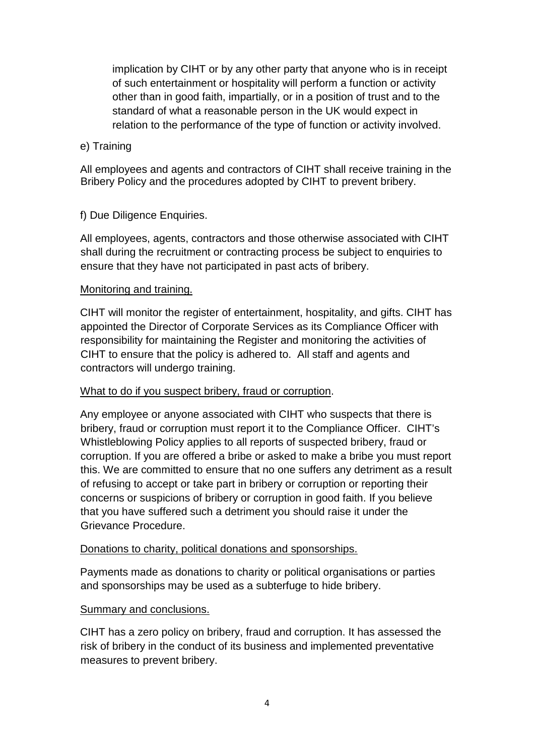implication by CIHT or by any other party that anyone who is in receipt of such entertainment or hospitality will perform a function or activity other than in good faith, impartially, or in a position of trust and to the standard of what a reasonable person in the UK would expect in relation to the performance of the type of function or activity involved.

### e) Training

All employees and agents and contractors of CIHT shall receive training in the Bribery Policy and the procedures adopted by CIHT to prevent bribery.

## f) Due Diligence Enquiries.

All employees, agents, contractors and those otherwise associated with CIHT shall during the recruitment or contracting process be subject to enquiries to ensure that they have not participated in past acts of bribery.

#### Monitoring and training.

CIHT will monitor the register of entertainment, hospitality, and gifts. CIHT has appointed the Director of Corporate Services as its Compliance Officer with responsibility for maintaining the Register and monitoring the activities of CIHT to ensure that the policy is adhered to. All staff and agents and contractors will undergo training.

#### What to do if you suspect bribery, fraud or corruption.

Any employee or anyone associated with CIHT who suspects that there is bribery, fraud or corruption must report it to the Compliance Officer. CIHT's Whistleblowing Policy applies to all reports of suspected bribery, fraud or corruption. If you are offered a bribe or asked to make a bribe you must report this. We are committed to ensure that no one suffers any detriment as a result of refusing to accept or take part in bribery or corruption or reporting their concerns or suspicions of bribery or corruption in good faith. If you believe that you have suffered such a detriment you should raise it under the Grievance Procedure.

#### Donations to charity, political donations and sponsorships.

Payments made as donations to charity or political organisations or parties and sponsorships may be used as a subterfuge to hide bribery.

## Summary and conclusions.

CIHT has a zero policy on bribery, fraud and corruption. It has assessed the risk of bribery in the conduct of its business and implemented preventative measures to prevent bribery.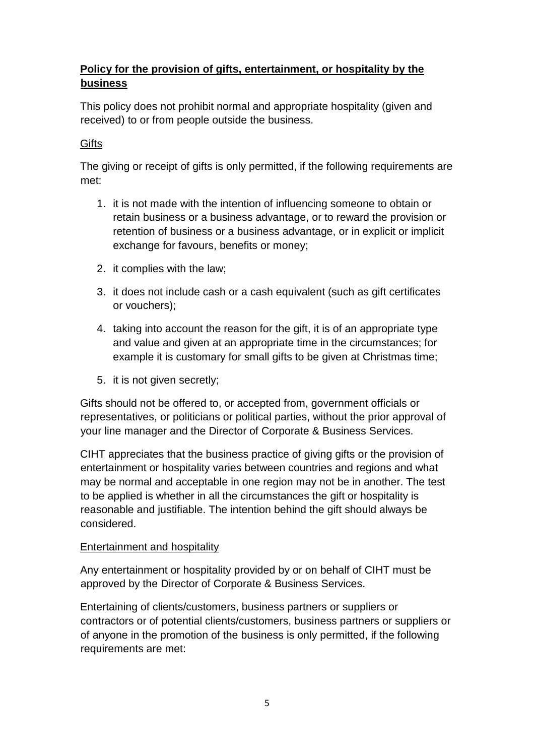# **Policy for the provision of gifts, entertainment, or hospitality by the business**

This policy does not prohibit normal and appropriate hospitality (given and received) to or from people outside the business.

# **Gifts**

The giving or receipt of gifts is only permitted, if the following requirements are met:

- 1. it is not made with the intention of influencing someone to obtain or retain business or a business advantage, or to reward the provision or retention of business or a business advantage, or in explicit or implicit exchange for favours, benefits or money;
- 2. it complies with the law;
- 3. it does not include cash or a cash equivalent (such as gift certificates or vouchers);
- 4. taking into account the reason for the gift, it is of an appropriate type and value and given at an appropriate time in the circumstances; for example it is customary for small gifts to be given at Christmas time;
- 5. it is not given secretly;

Gifts should not be offered to, or accepted from, government officials or representatives, or politicians or political parties, without the prior approval of your line manager and the Director of Corporate & Business Services.

CIHT appreciates that the business practice of giving gifts or the provision of entertainment or hospitality varies between countries and regions and what may be normal and acceptable in one region may not be in another. The test to be applied is whether in all the circumstances the gift or hospitality is reasonable and justifiable. The intention behind the gift should always be considered.

## Entertainment and hospitality

Any entertainment or hospitality provided by or on behalf of CIHT must be approved by the Director of Corporate & Business Services.

Entertaining of clients/customers, business partners or suppliers or contractors or of potential clients/customers, business partners or suppliers or of anyone in the promotion of the business is only permitted, if the following requirements are met: